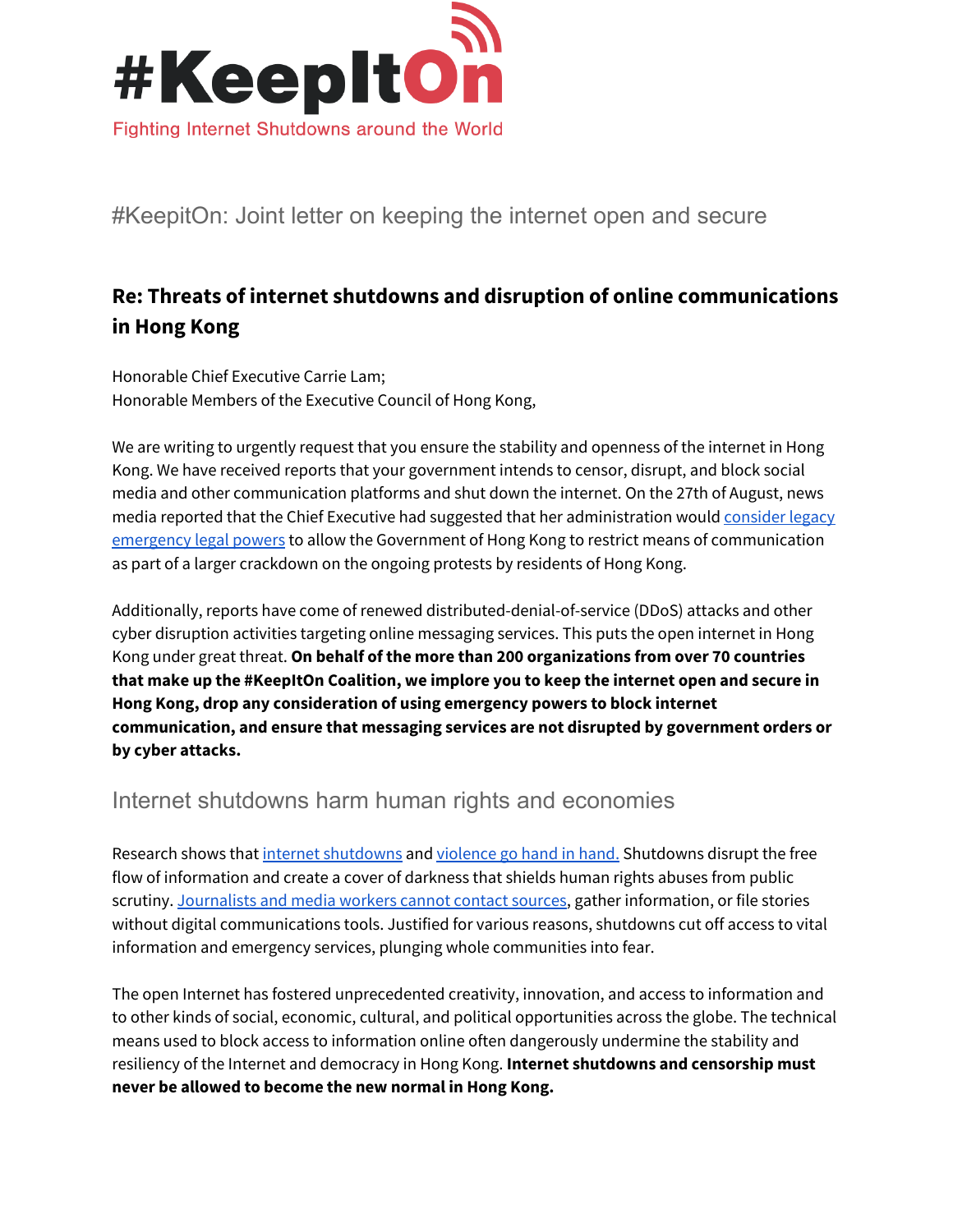

#KeepitOn: Joint letter on keeping the internet open and secure

## **Re: Threats of internet shutdowns and disruption of online communications in Hong Kong**

Honorable Chief Executive Carrie Lam; Honorable Members of the Executive Council of Hong Kong,

We are writing to urgently request that you ensure the stability and openness of the internet in Hong Kong. We have received reports that your government intends to censor, disrupt, and block social media and other communication platforms and shut down the internet. On the 27th of August, news media reported that the Chief Executive had suggested that her administration would [consider](https://www.scmp.com/news/hong-kong/politics/article/3024616/hong-kong-leader-carrie-lam-leaves-door-open-invoking) legacy [emergency](https://www.scmp.com/news/hong-kong/politics/article/3024616/hong-kong-leader-carrie-lam-leaves-door-open-invoking) legal powers to allow the Government of Hong Kong to restrict means of communication as part of a larger crackdown on the ongoing protests by residents of Hong Kong.

Additionally, reports have come of renewed distributed-denial-of-service (DDoS) attacks and other cyber disruption activities targeting online messaging services. This puts the open internet in Hong Kong under great threat. **On behalf of the more than 200 organizations from over 70 countries that make up the #KeepItOn Coalition, we implore you to keep the internet open and secure in Hong Kong, drop any consideration of using emergency powers to block internet communication, and ensure that messaging services are not disrupted by government orders or by cyber attacks.**

## Internet shutdowns harm human rights and economies

Research shows that internet [shutdowns](https://accessnow.org/keepiton) and [violence](http://www.anitagohdes.net/uploads/2/7/2/3/27235401/gohdes_synetworkaug14.pdf) go hand in hand. Shutdowns disrupt the free flow of information and create a cover of darkness that shields human rights abuses from public scrutiny. [Journalists](https://www.brookings.edu/wp-content/uploads/2016/10/intenet-shutdowns-v-3.pdf) and media workers cannot contact sources, gather information, or file stories without digital communications tools. Justified for various reasons, shutdowns cut off access to vital information and emergency services, plunging whole communities into fear.

The open Internet has fostered unprecedented creativity, innovation, and access to information and to other kinds of social, economic, cultural, and political opportunities across the globe. The technical means used to block access to information online often dangerously undermine the stability and resiliency of the Internet and democracy in Hong Kong. **Internet shutdowns and censorship must never be allowed to become the new normal in Hong Kong.**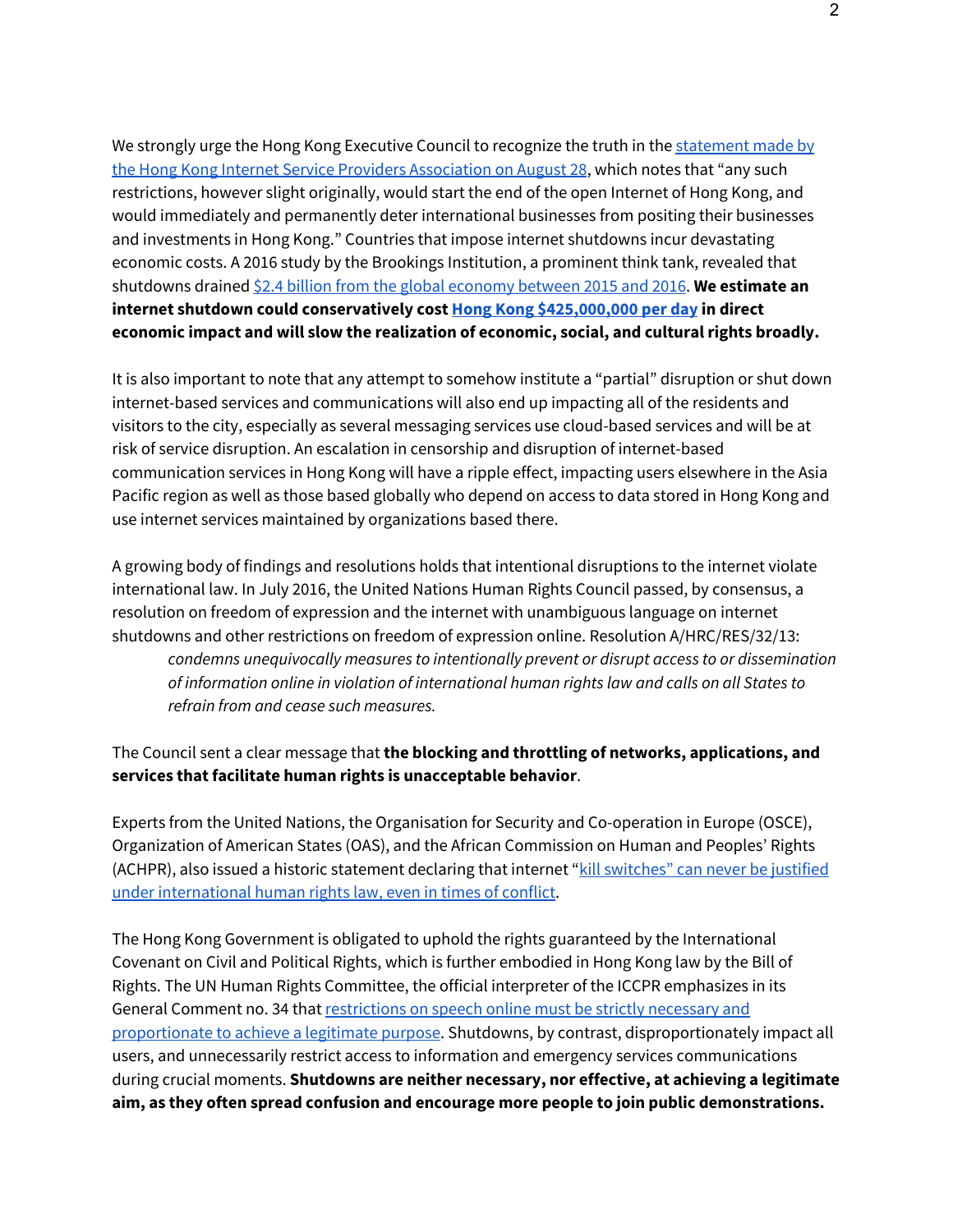We strongly urge the Hong Kong Executive Council to recognize the truth in the [statement](https://www.hkispa.org.hk/139-urgent-statement-of-hkispa-on-selective-blocking-of-internet-services.html) made by the Hong Kong Internet Service Providers [Association](https://www.hkispa.org.hk/139-urgent-statement-of-hkispa-on-selective-blocking-of-internet-services.html) on August 28, which notes that "any such restrictions, however slight originally, would start the end of the open Internet of Hong Kong, and would immediately and permanently deter international businesses from positing their businesses and investments in Hong Kong." Countries that impose internet shutdowns incur devastating economic costs. A 2016 study by the Brookings Institution, a prominent think tank, revealed that shutdowns drained \$2.4 billion from the global [economy](https://www.brookings.edu/wp-content/uploads/2016/10/intenet-shutdowns-v-3.pdf) between 2015 and 2016. **We estimate an internet shutdown could conservatively cost Hong Kong [\\$425,000,000](https://netblocks.org/cost/) per day in direct economic impact and will slow the realization of economic, social, and cultural rights broadly.**

It is also important to note that any attempt to somehow institute a "partial" disruption or shut down internet-based services and communications will also end up impacting all of the residents and visitors to the city, especially as several messaging services use cloud-based services and will be at risk of service disruption. An escalation in censorship and disruption of internet-based communication services in Hong Kong will have a ripple effect, impacting users elsewhere in the Asia Pacific region as well as those based globally who depend on access to data stored in Hong Kong and use internet services maintained by organizations based there.

A growing body of findings and resolutions holds that intentional disruptions to the internet violate international law. In July 2016, the United Nations Human Rights Council passed, by consensus, a resolution on freedom of expression and the internet with unambiguous language on internet shutdowns and other restrictions on freedom of expression online. Resolution A/HRC/RES/32/13: *condemns unequivocally measures to intentionally prevent or disrupt access to or dissemination of information online in violation of international human rights law and calls on all States to refrain from and cease such measures.*

## The Council sent a clear message that **the blocking and throttling of networks, applications, and services that facilitate human rights is unacceptable behavior**.

Experts from the United Nations, the Organisation for Security and Co-operation in Europe (OSCE), Organization of American States (OAS), and the African Commission on Human and Peoples' Rights (ACHPR), also issued a historic statement declaring that internet "kill [switches"](https://www.accessnow.org/blog/2015/05/04/internet-kill-switches-are-a-violation-of-human-rights-law-declare-major-un) can never be justified under [international](https://www.accessnow.org/blog/2015/05/04/internet-kill-switches-are-a-violation-of-human-rights-law-declare-major-un) human rights law, even in times of conflict.

The Hong Kong Government is obligated to uphold the rights guaranteed by the International Covenant on Civil and Political Rights, which is further embodied in Hong Kong law by the Bill of Rights. The UN Human Rights Committee, the official interpreter of the ICCPR emphasizes in its General Comment no. 34 that [restrictions](http://www2.ohchr.org/english/bodies/hrc/docs/GC34.pdf) on speech online must be strictly necessary and [proportionate](http://www2.ohchr.org/english/bodies/hrc/docs/GC34.pdf) to achieve a legitimate purpose. Shutdowns, by contrast, disproportionately impact all users, and unnecessarily restrict access to information and emergency services communications during crucial moments. **Shutdowns are neither necessary, nor effective, at achieving a legitimate aim, as they often spread confusion and encourage more people to join public demonstrations.**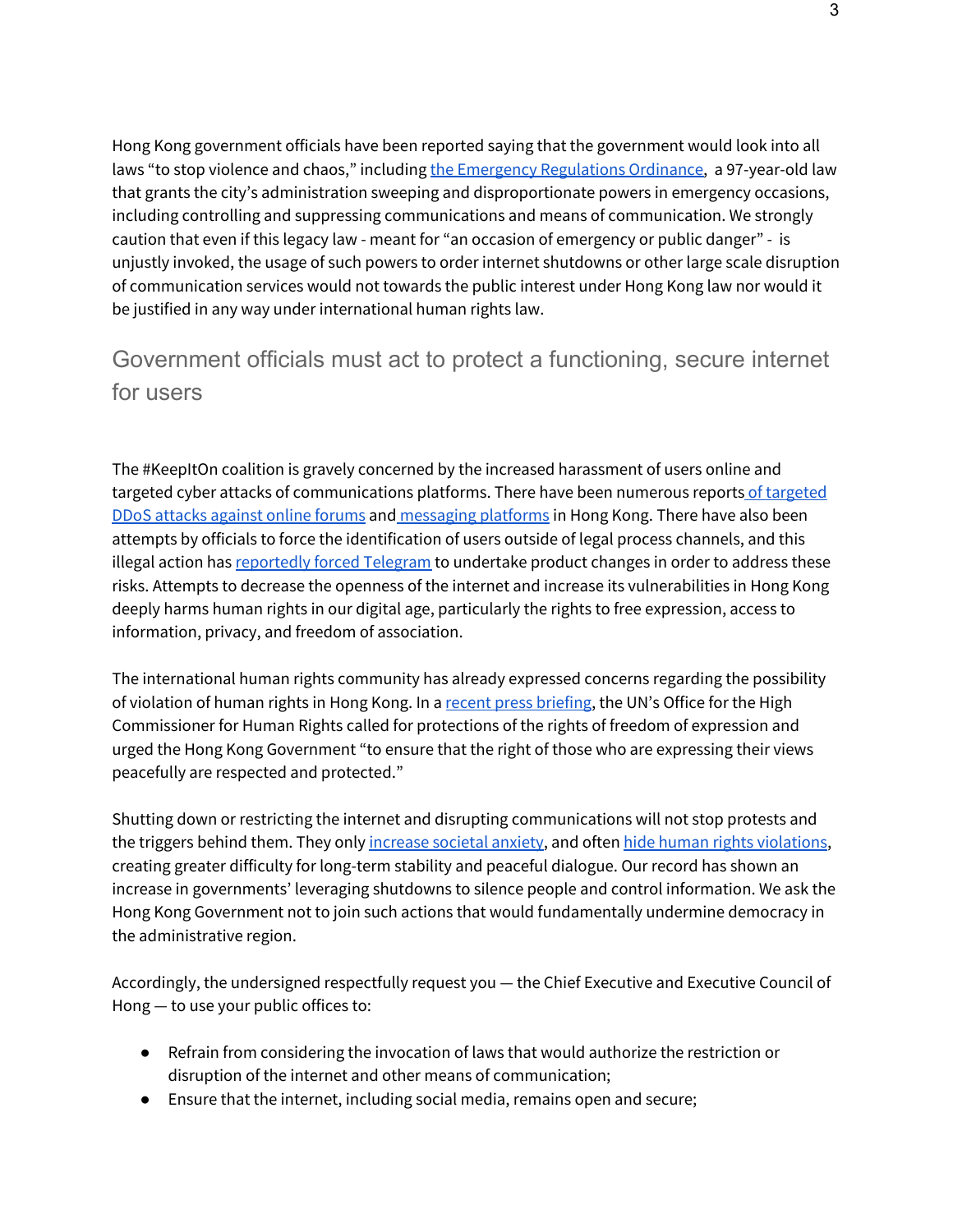Hong Kong government officials have been reported saying that the government would look into all laws "to stop violence and chaos," including the Emergency [Regulations](https://www.elegislation.gov.hk/hk/cap241) Ordinance, a 97-year-old law that grants the city's administration sweeping and disproportionate powers in emergency occasions, including controlling and suppressing communications and means of communication. We strongly caution that even if this legacy law - meant for "an occasion of emergency or public danger" - is unjustly invoked, the usage of such powers to order internet shutdowns or other large scale disruption of communication services would not towards the public interest under Hong Kong law nor would it be justified in any way under international human rights law.

## Government officials must act to protect a functioning, secure internet for users

The #KeepItOn coalition is gravely concerned by the increased harassment of users online and [targeted](https://www.bloomberg.com/news/articles/2019-09-02/hong-kong-protester-forum-says-some-ddos-attacks-came-from-china) cyber attacks of communications platforms. There have been numerous reports of targeted DDoS attacks [against](https://www.bloomberg.com/news/articles/2019-09-02/hong-kong-protester-forum-says-some-ddos-attacks-came-from-china) online forums and [messaging](https://www.bbc.com/news/business-48619804) platforms in Hong Kong. There have also been attempts by officials to force the identification of users outside of legal process channels, and this illegal action has [reportedly](https://www.reuters.com/article/us-hongkong-telegram-exclusive/exclusive-messaging-app-telegram-moves-to-protect-identity-of-hong-kong-protesters-idUSKCN1VK2NI) forced Telegram to undertake product changes in order to address these risks. Attempts to decrease the openness of the internet and increase its vulnerabilities in Hong Kong deeply harms human rights in our digital age, particularly the rights to free expression, access to information, privacy, and freedom of association.

The international human rights community has already expressed concerns regarding the possibility of violation of human rights in Hong Kong. In a recent press [briefing](https://www.ohchr.org/EN/NewsEvents/Pages/DisplayNews.aspx?NewsID=24888&LangID=E), the UN's Office for the High Commissioner for Human Rights called for protections of the rights of freedom of expression and urged the Hong Kong Government "to ensure that the right of those who are expressing their views peacefully are respected and protected."

Shutting down or restricting the internet and disrupting communications will not stop protests and the triggers behind them. They only [increase](https://time.com/5646005/inside-kashmir-communication-shutdown/) societal anxiety, and often hide human rights [violations,](https://www.accessnow.org/iamthesudanrevolution-theres-a-direct-link-between-internet-shutdowns-and-human-rights-violations-in-sudan/) creating greater difficulty for long-term stability and peaceful dialogue. Our record has shown an increase in governments' leveraging shutdowns to silence people and control information. We ask the Hong Kong Government not to join such actions that would fundamentally undermine democracy in the administrative region.

Accordingly, the undersigned respectfully request you — the Chief Executive and Executive Council of Hong — to use your public offices to:

- Refrain from considering the invocation of laws that would authorize the restriction or disruption of the internet and other means of communication;
- Ensure that the internet, including social media, remains open and secure;